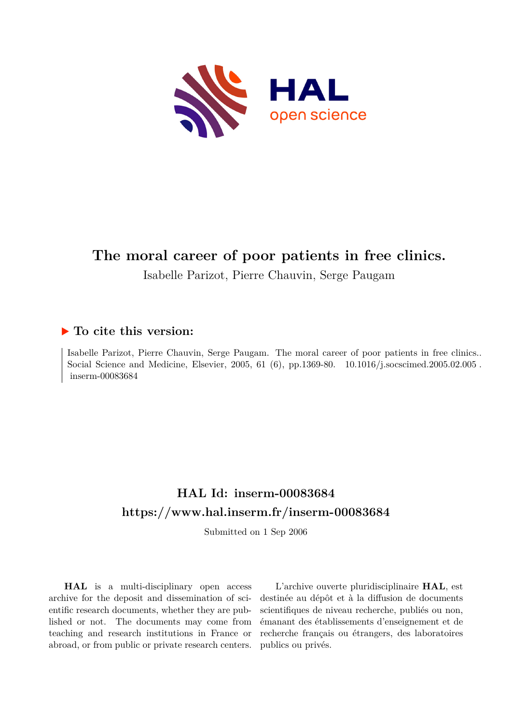

# **The moral career of poor patients in free clinics.**

Isabelle Parizot, Pierre Chauvin, Serge Paugam

# **To cite this version:**

Isabelle Parizot, Pierre Chauvin, Serge Paugam. The moral career of poor patients in free clinics.. Social Science and Medicine, Elsevier, 2005, 61 (6), pp.1369-80.  $10.1016/j$ .socscimed.2005.02.005. inserm-00083684

# **HAL Id: inserm-00083684 <https://www.hal.inserm.fr/inserm-00083684>**

Submitted on 1 Sep 2006

**HAL** is a multi-disciplinary open access archive for the deposit and dissemination of scientific research documents, whether they are published or not. The documents may come from teaching and research institutions in France or abroad, or from public or private research centers.

L'archive ouverte pluridisciplinaire **HAL**, est destinée au dépôt et à la diffusion de documents scientifiques de niveau recherche, publiés ou non, émanant des établissements d'enseignement et de recherche français ou étrangers, des laboratoires publics ou privés.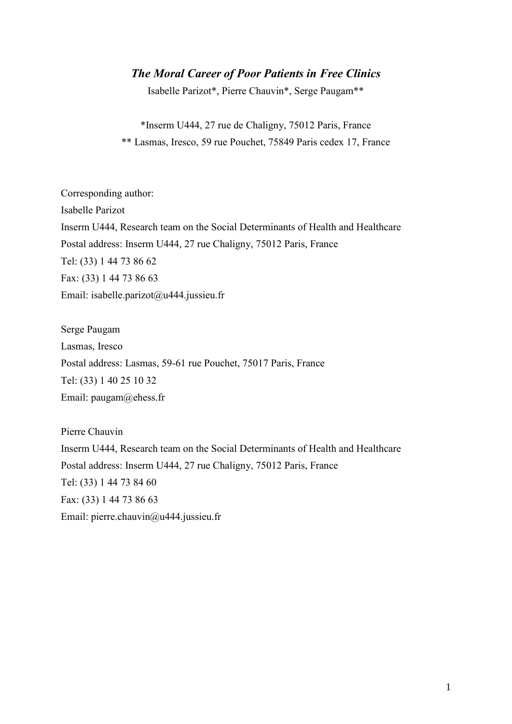# *The Moral Career of Poor Patients in Free Clinics*

Isabelle Parizot\*, Pierre Chauvin\*, Serge Paugam\*\*

\*Inserm U444, 27 rue de Chaligny, 75012 Paris, France \*\* Lasmas, Iresco, 59 rue Pouchet, 75849 Paris cedex 17, France

Corresponding author: Isabelle Parizot Inserm U444, Research team on the Social Determinants of Health and Healthcare Postal address: Inserm U444, 27 rue Chaligny, 75012 Paris, France Tel: (33) 1 44 73 86 62 Fax: (33) 1 44 73 86 63 Email: isabelle.parizot@u444.jussieu.fr

Serge Paugam Lasmas, Iresco Postal address: Lasmas, 59-61 rue Pouchet, 75017 Paris, France Tel: (33) 1 40 25 10 32 Email: paugam@ehess.fr

Pierre Chauvin Inserm U444, Research team on the Social Determinants of Health and Healthcare Postal address: Inserm U444, 27 rue Chaligny, 75012 Paris, France Tel: (33) 1 44 73 84 60 Fax: (33) 1 44 73 86 63 Email: pierre.chauvin@u444.jussieu.fr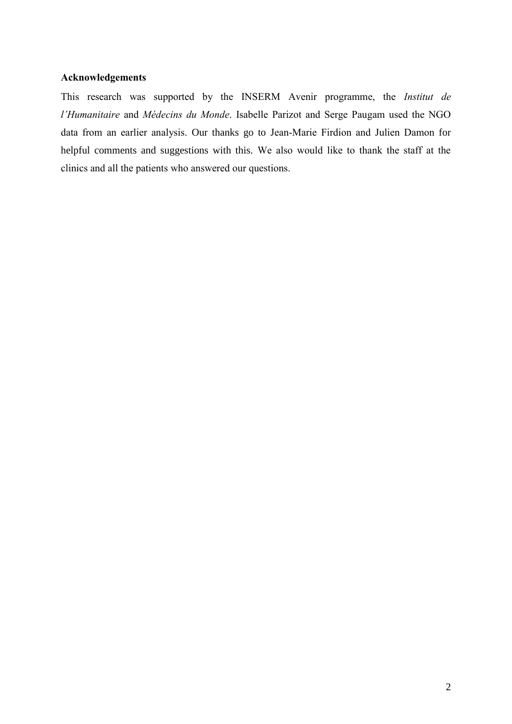# **Acknowledgements**

This research was supported by the INSERM Avenir programme, the *Institut de l"Humanitaire* and *Médecins du Monde*. Isabelle Parizot and Serge Paugam used the NGO data from an earlier analysis. Our thanks go to Jean-Marie Firdion and Julien Damon for helpful comments and suggestions with this. We also would like to thank the staff at the clinics and all the patients who answered our questions.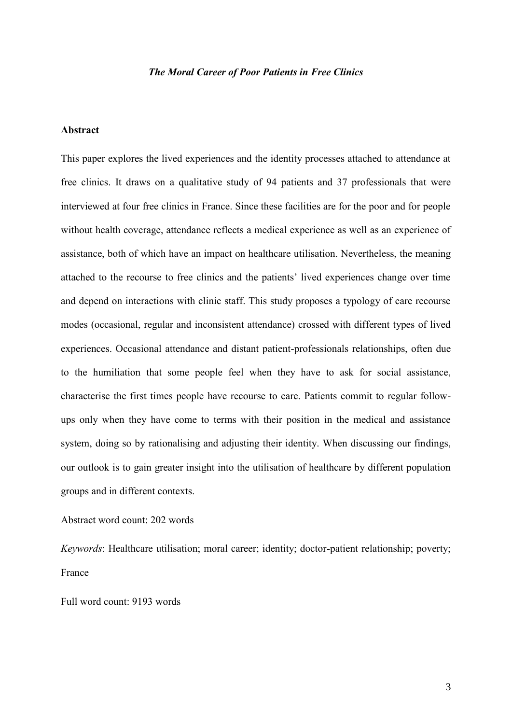#### *The Moral Career of Poor Patients in Free Clinics*

## **Abstract**

This paper explores the lived experiences and the identity processes attached to attendance at free clinics. It draws on a qualitative study of 94 patients and 37 professionals that were interviewed at four free clinics in France. Since these facilities are for the poor and for people without health coverage, attendance reflects a medical experience as well as an experience of assistance, both of which have an impact on healthcare utilisation. Nevertheless, the meaning attached to the recourse to free clinics and the patients" lived experiences change over time and depend on interactions with clinic staff. This study proposes a typology of care recourse modes (occasional, regular and inconsistent attendance) crossed with different types of lived experiences. Occasional attendance and distant patient-professionals relationships, often due to the humiliation that some people feel when they have to ask for social assistance, characterise the first times people have recourse to care. Patients commit to regular followups only when they have come to terms with their position in the medical and assistance system, doing so by rationalising and adjusting their identity. When discussing our findings, our outlook is to gain greater insight into the utilisation of healthcare by different population groups and in different contexts.

#### Abstract word count: 202 words

*Keywords*: Healthcare utilisation; moral career; identity; doctor-patient relationship; poverty; France

Full word count: 9193 words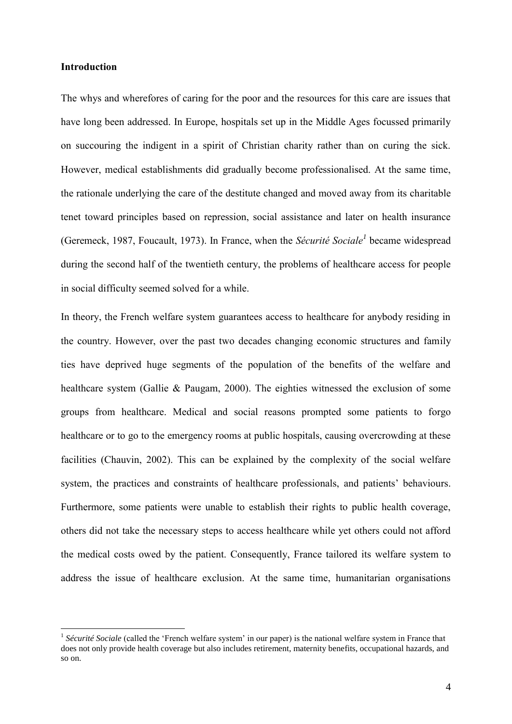## **Introduction**

1

The whys and wherefores of caring for the poor and the resources for this care are issues that have long been addressed. In Europe, hospitals set up in the Middle Ages focussed primarily on succouring the indigent in a spirit of Christian charity rather than on curing the sick. However, medical establishments did gradually become professionalised. At the same time, the rationale underlying the care of the destitute changed and moved away from its charitable tenet toward principles based on repression, social assistance and later on health insurance (Geremeck, 1987, Foucault, 1973). In France, when the *Sécurité Sociale<sup>1</sup>* became widespread during the second half of the twentieth century, the problems of healthcare access for people in social difficulty seemed solved for a while.

In theory, the French welfare system guarantees access to healthcare for anybody residing in the country. However, over the past two decades changing economic structures and family ties have deprived huge segments of the population of the benefits of the welfare and healthcare system (Gallie & Paugam, 2000). The eighties witnessed the exclusion of some groups from healthcare. Medical and social reasons prompted some patients to forgo healthcare or to go to the emergency rooms at public hospitals, causing overcrowding at these facilities (Chauvin, 2002). This can be explained by the complexity of the social welfare system, the practices and constraints of healthcare professionals, and patients" behaviours. Furthermore, some patients were unable to establish their rights to public health coverage, others did not take the necessary steps to access healthcare while yet others could not afford the medical costs owed by the patient. Consequently, France tailored its welfare system to address the issue of healthcare exclusion. At the same time, humanitarian organisations

<sup>&</sup>lt;sup>1</sup> Sécurité Sociale (called the 'French welfare system' in our paper) is the national welfare system in France that does not only provide health coverage but also includes retirement, maternity benefits, occupational hazards, and so on.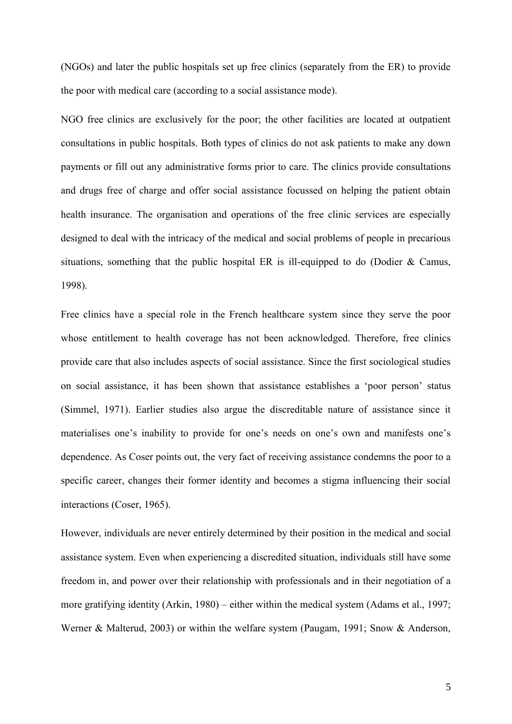(NGOs) and later the public hospitals set up free clinics (separately from the ER) to provide the poor with medical care (according to a social assistance mode).

NGO free clinics are exclusively for the poor; the other facilities are located at outpatient consultations in public hospitals. Both types of clinics do not ask patients to make any down payments or fill out any administrative forms prior to care. The clinics provide consultations and drugs free of charge and offer social assistance focussed on helping the patient obtain health insurance. The organisation and operations of the free clinic services are especially designed to deal with the intricacy of the medical and social problems of people in precarious situations, something that the public hospital ER is ill-equipped to do (Dodier & Camus, 1998).

Free clinics have a special role in the French healthcare system since they serve the poor whose entitlement to health coverage has not been acknowledged. Therefore, free clinics provide care that also includes aspects of social assistance. Since the first sociological studies on social assistance, it has been shown that assistance establishes a "poor person" status (Simmel, 1971). Earlier studies also argue the discreditable nature of assistance since it materialises one's inability to provide for one's needs on one's own and manifests one's dependence. As Coser points out, the very fact of receiving assistance condemns the poor to a specific career, changes their former identity and becomes a stigma influencing their social interactions (Coser, 1965).

However, individuals are never entirely determined by their position in the medical and social assistance system. Even when experiencing a discredited situation, individuals still have some freedom in, and power over their relationship with professionals and in their negotiation of a more gratifying identity (Arkin, 1980) – either within the medical system (Adams et al., 1997; Werner & Malterud, 2003) or within the welfare system (Paugam, 1991; Snow & Anderson,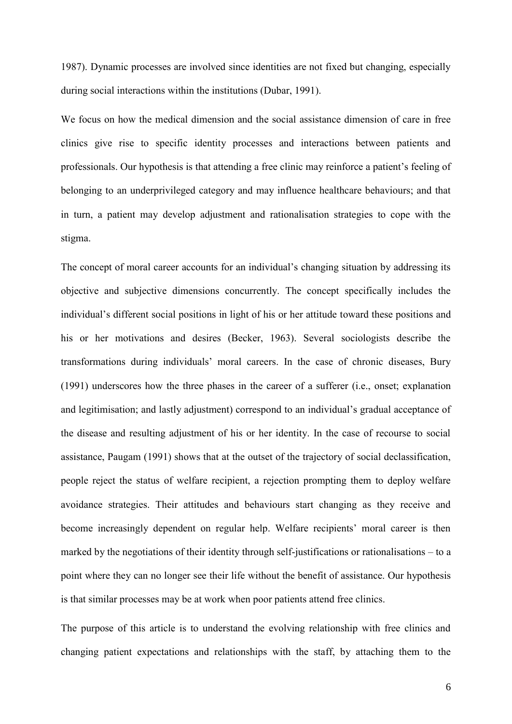1987). Dynamic processes are involved since identities are not fixed but changing, especially during social interactions within the institutions (Dubar, 1991).

We focus on how the medical dimension and the social assistance dimension of care in free clinics give rise to specific identity processes and interactions between patients and professionals. Our hypothesis is that attending a free clinic may reinforce a patient"s feeling of belonging to an underprivileged category and may influence healthcare behaviours; and that in turn, a patient may develop adjustment and rationalisation strategies to cope with the stigma.

The concept of moral career accounts for an individual's changing situation by addressing its objective and subjective dimensions concurrently. The concept specifically includes the individual"s different social positions in light of his or her attitude toward these positions and his or her motivations and desires (Becker, 1963). Several sociologists describe the transformations during individuals" moral careers. In the case of chronic diseases, Bury (1991) underscores how the three phases in the career of a sufferer (i.e., onset; explanation and legitimisation; and lastly adjustment) correspond to an individual"s gradual acceptance of the disease and resulting adjustment of his or her identity. In the case of recourse to social assistance, Paugam (1991) shows that at the outset of the trajectory of social declassification, people reject the status of welfare recipient, a rejection prompting them to deploy welfare avoidance strategies. Their attitudes and behaviours start changing as they receive and become increasingly dependent on regular help. Welfare recipients' moral career is then marked by the negotiations of their identity through self-justifications or rationalisations – to a point where they can no longer see their life without the benefit of assistance. Our hypothesis is that similar processes may be at work when poor patients attend free clinics.

The purpose of this article is to understand the evolving relationship with free clinics and changing patient expectations and relationships with the staff, by attaching them to the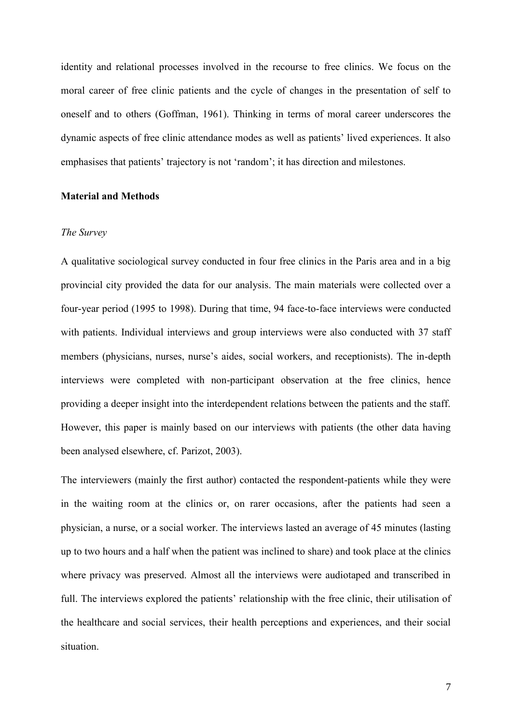identity and relational processes involved in the recourse to free clinics. We focus on the moral career of free clinic patients and the cycle of changes in the presentation of self to oneself and to others (Goffman, 1961). Thinking in terms of moral career underscores the dynamic aspects of free clinic attendance modes as well as patients" lived experiences. It also emphasises that patients' trajectory is not 'random'; it has direction and milestones.

## **Material and Methods**

#### *The Survey*

A qualitative sociological survey conducted in four free clinics in the Paris area and in a big provincial city provided the data for our analysis. The main materials were collected over a four-year period (1995 to 1998). During that time, 94 face-to-face interviews were conducted with patients. Individual interviews and group interviews were also conducted with 37 staff members (physicians, nurses, nurse's aides, social workers, and receptionists). The in-depth interviews were completed with non-participant observation at the free clinics, hence providing a deeper insight into the interdependent relations between the patients and the staff. However, this paper is mainly based on our interviews with patients (the other data having been analysed elsewhere, cf. Parizot, 2003).

The interviewers (mainly the first author) contacted the respondent-patients while they were in the waiting room at the clinics or, on rarer occasions, after the patients had seen a physician, a nurse, or a social worker. The interviews lasted an average of 45 minutes (lasting up to two hours and a half when the patient was inclined to share) and took place at the clinics where privacy was preserved. Almost all the interviews were audiotaped and transcribed in full. The interviews explored the patients' relationship with the free clinic, their utilisation of the healthcare and social services, their health perceptions and experiences, and their social situation.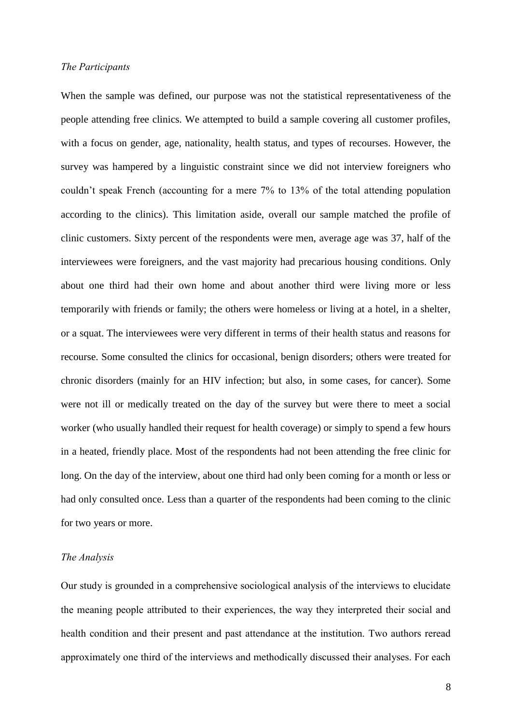#### *The Participants*

When the sample was defined, our purpose was not the statistical representativeness of the people attending free clinics. We attempted to build a sample covering all customer profiles, with a focus on gender, age, nationality, health status, and types of recourses. However, the survey was hampered by a linguistic constraint since we did not interview foreigners who couldn"t speak French (accounting for a mere 7% to 13% of the total attending population according to the clinics). This limitation aside, overall our sample matched the profile of clinic customers. Sixty percent of the respondents were men, average age was 37, half of the interviewees were foreigners, and the vast majority had precarious housing conditions. Only about one third had their own home and about another third were living more or less temporarily with friends or family; the others were homeless or living at a hotel, in a shelter, or a squat. The interviewees were very different in terms of their health status and reasons for recourse. Some consulted the clinics for occasional, benign disorders; others were treated for chronic disorders (mainly for an HIV infection; but also, in some cases, for cancer). Some were not ill or medically treated on the day of the survey but were there to meet a social worker (who usually handled their request for health coverage) or simply to spend a few hours in a heated, friendly place. Most of the respondents had not been attending the free clinic for long. On the day of the interview, about one third had only been coming for a month or less or had only consulted once. Less than a quarter of the respondents had been coming to the clinic for two years or more.

#### *The Analysis*

Our study is grounded in a comprehensive sociological analysis of the interviews to elucidate the meaning people attributed to their experiences, the way they interpreted their social and health condition and their present and past attendance at the institution. Two authors reread approximately one third of the interviews and methodically discussed their analyses. For each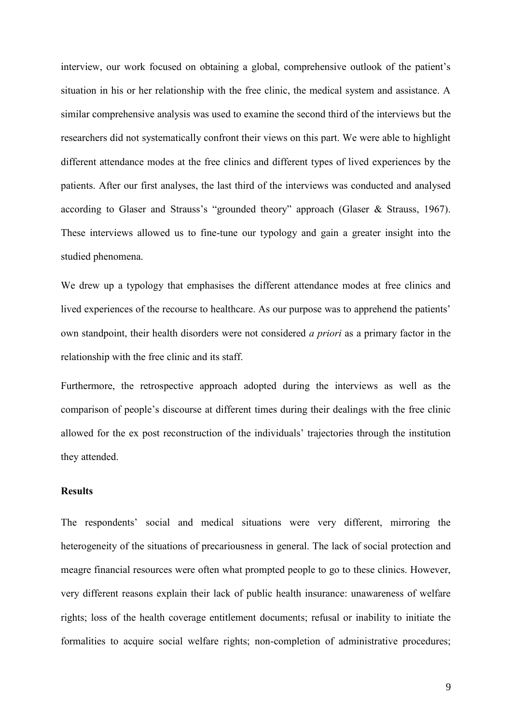interview, our work focused on obtaining a global, comprehensive outlook of the patient"s situation in his or her relationship with the free clinic, the medical system and assistance. A similar comprehensive analysis was used to examine the second third of the interviews but the researchers did not systematically confront their views on this part. We were able to highlight different attendance modes at the free clinics and different types of lived experiences by the patients. After our first analyses, the last third of the interviews was conducted and analysed according to Glaser and Strauss's "grounded theory" approach (Glaser & Strauss, 1967). These interviews allowed us to fine-tune our typology and gain a greater insight into the studied phenomena.

We drew up a typology that emphasises the different attendance modes at free clinics and lived experiences of the recourse to healthcare. As our purpose was to apprehend the patients' own standpoint, their health disorders were not considered *a priori* as a primary factor in the relationship with the free clinic and its staff.

Furthermore, the retrospective approach adopted during the interviews as well as the comparison of people"s discourse at different times during their dealings with the free clinic allowed for the ex post reconstruction of the individuals" trajectories through the institution they attended.

# **Results**

The respondents" social and medical situations were very different, mirroring the heterogeneity of the situations of precariousness in general. The lack of social protection and meagre financial resources were often what prompted people to go to these clinics. However, very different reasons explain their lack of public health insurance: unawareness of welfare rights; loss of the health coverage entitlement documents; refusal or inability to initiate the formalities to acquire social welfare rights; non-completion of administrative procedures;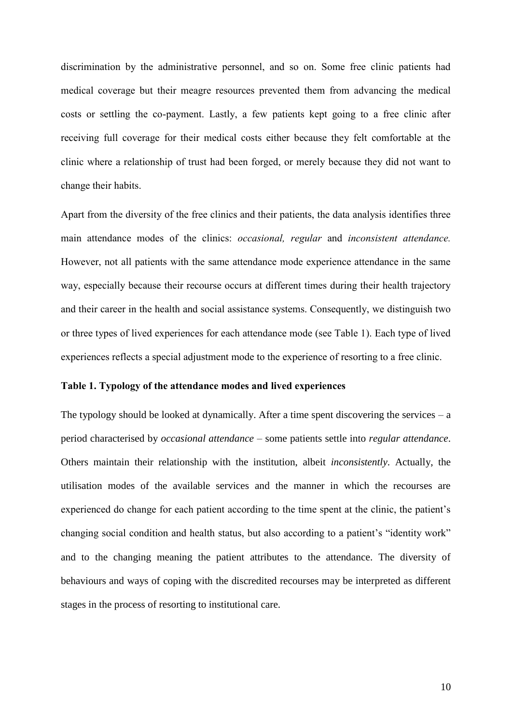discrimination by the administrative personnel, and so on. Some free clinic patients had medical coverage but their meagre resources prevented them from advancing the medical costs or settling the co-payment. Lastly, a few patients kept going to a free clinic after receiving full coverage for their medical costs either because they felt comfortable at the clinic where a relationship of trust had been forged, or merely because they did not want to change their habits.

Apart from the diversity of the free clinics and their patients, the data analysis identifies three main attendance modes of the clinics: *occasional, regular* and *inconsistent attendance.*  However, not all patients with the same attendance mode experience attendance in the same way, especially because their recourse occurs at different times during their health trajectory and their career in the health and social assistance systems. Consequently, we distinguish two or three types of lived experiences for each attendance mode (see Table 1). Each type of lived experiences reflects a special adjustment mode to the experience of resorting to a free clinic.

### **Table 1. Typology of the attendance modes and lived experiences**

The typology should be looked at dynamically. After a time spent discovering the services  $-$  a period characterised by *occasional attendance* – some patients settle into *regular attendance*. Others maintain their relationship with the institution, albeit *inconsistently*. Actually, the utilisation modes of the available services and the manner in which the recourses are experienced do change for each patient according to the time spent at the clinic, the patient's changing social condition and health status, but also according to a patient's "identity work" and to the changing meaning the patient attributes to the attendance. The diversity of behaviours and ways of coping with the discredited recourses may be interpreted as different stages in the process of resorting to institutional care.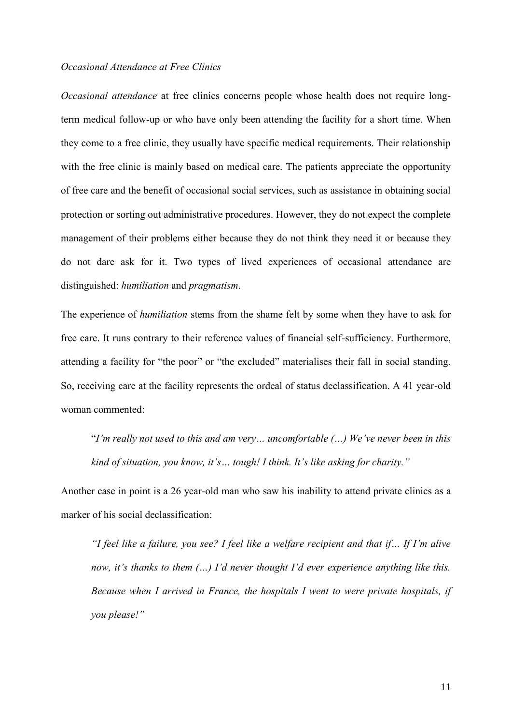# *Occasional Attendance at Free Clinics*

*Occasional attendance* at free clinics concerns people whose health does not require longterm medical follow-up or who have only been attending the facility for a short time. When they come to a free clinic, they usually have specific medical requirements. Their relationship with the free clinic is mainly based on medical care. The patients appreciate the opportunity of free care and the benefit of occasional social services, such as assistance in obtaining social protection or sorting out administrative procedures. However, they do not expect the complete management of their problems either because they do not think they need it or because they do not dare ask for it. Two types of lived experiences of occasional attendance are distinguished: *humiliation* and *pragmatism*.

The experience of *humiliation* stems from the shame felt by some when they have to ask for free care. It runs contrary to their reference values of financial self-sufficiency. Furthermore, attending a facility for "the poor" or "the excluded" materialises their fall in social standing. So, receiving care at the facility represents the ordeal of status declassification. A 41 year-old woman commented:

"*I"m really not used to this and am very… uncomfortable (…) We"ve never been in this kind of situation, you know, it"s… tough! I think. It"s like asking for charity."* 

Another case in point is a 26 year-old man who saw his inability to attend private clinics as a marker of his social declassification:

*"I feel like a failure, you see? I feel like a welfare recipient and that if… If I"m alive now, it's thanks to them (...) I'd never thought I'd ever experience anything like this. Because when I arrived in France, the hospitals I went to were private hospitals, if you please!"*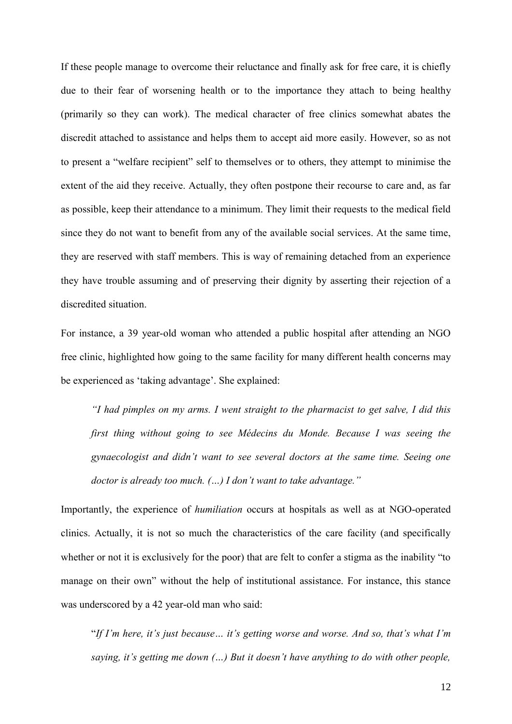If these people manage to overcome their reluctance and finally ask for free care, it is chiefly due to their fear of worsening health or to the importance they attach to being healthy (primarily so they can work). The medical character of free clinics somewhat abates the discredit attached to assistance and helps them to accept aid more easily. However, so as not to present a "welfare recipient" self to themselves or to others, they attempt to minimise the extent of the aid they receive. Actually, they often postpone their recourse to care and, as far as possible, keep their attendance to a minimum. They limit their requests to the medical field since they do not want to benefit from any of the available social services. At the same time, they are reserved with staff members. This is way of remaining detached from an experience they have trouble assuming and of preserving their dignity by asserting their rejection of a discredited situation.

For instance, a 39 year-old woman who attended a public hospital after attending an NGO free clinic, highlighted how going to the same facility for many different health concerns may be experienced as 'taking advantage'. She explained:

*"I had pimples on my arms. I went straight to the pharmacist to get salve, I did this first thing without going to see Médecins du Monde. Because I was seeing the gynaecologist and didn"t want to see several doctors at the same time. Seeing one doctor is already too much. (…) I don"t want to take advantage."*

Importantly, the experience of *humiliation* occurs at hospitals as well as at NGO-operated clinics. Actually, it is not so much the characteristics of the care facility (and specifically whether or not it is exclusively for the poor) that are felt to confer a stigma as the inability "to manage on their own" without the help of institutional assistance. For instance, this stance was underscored by a 42 year-old man who said:

"*If I"m here, it"s just because… it"s getting worse and worse. And so, that"s what I"m saying, it"s getting me down (…) But it doesn"t have anything to do with other people,*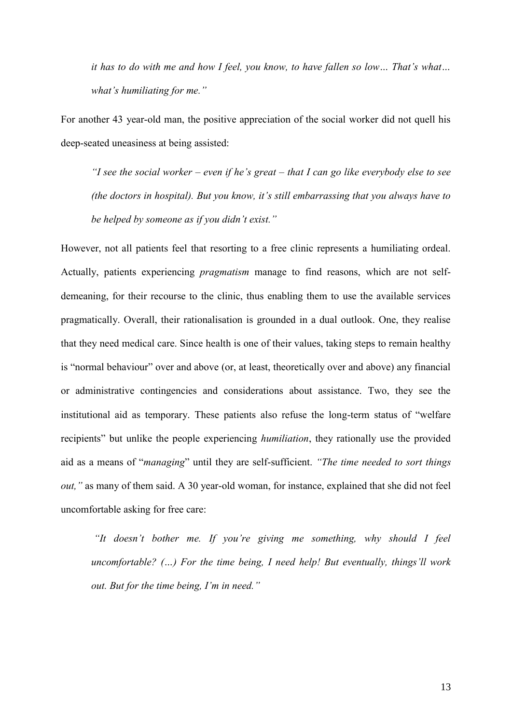*it has to do with me and how I feel, you know, to have fallen so low… That"s what… what"s humiliating for me."*

For another 43 year-old man, the positive appreciation of the social worker did not quell his deep-seated uneasiness at being assisted:

*"I see the social worker – even if he"s great – that I can go like everybody else to see (the doctors in hospital). But you know, it"s still embarrassing that you always have to be helped by someone as if you didn"t exist."* 

However, not all patients feel that resorting to a free clinic represents a humiliating ordeal. Actually, patients experiencing *pragmatism* manage to find reasons, which are not selfdemeaning, for their recourse to the clinic, thus enabling them to use the available services pragmatically. Overall, their rationalisation is grounded in a dual outlook. One, they realise that they need medical care. Since health is one of their values, taking steps to remain healthy is "normal behaviour" over and above (or, at least, theoretically over and above) any financial or administrative contingencies and considerations about assistance. Two, they see the institutional aid as temporary. These patients also refuse the long-term status of "welfare recipients" but unlike the people experiencing *humiliation*, they rationally use the provided aid as a means of "*managing*" until they are self-sufficient. *"The time needed to sort things out,"* as many of them said. A 30 year-old woman, for instance, explained that she did not feel uncomfortable asking for free care:

*"It doesn"t bother me. If you"re giving me something, why should I feel uncomfortable? (…) For the time being, I need help! But eventually, things"ll work out. But for the time being, I"m in need."*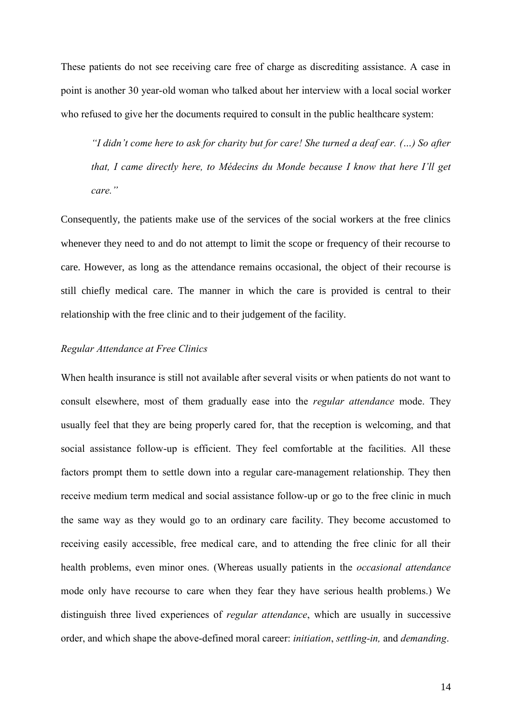These patients do not see receiving care free of charge as discrediting assistance. A case in point is another 30 year-old woman who talked about her interview with a local social worker who refused to give her the documents required to consult in the public healthcare system:

*"I didn"t come here to ask for charity but for care! She turned a deaf ear. (…) So after that, I came directly here, to Médecins du Monde because I know that here I"ll get care."*

Consequently, the patients make use of the services of the social workers at the free clinics whenever they need to and do not attempt to limit the scope or frequency of their recourse to care. However, as long as the attendance remains occasional, the object of their recourse is still chiefly medical care. The manner in which the care is provided is central to their relationship with the free clinic and to their judgement of the facility.

### *Regular Attendance at Free Clinics*

When health insurance is still not available after several visits or when patients do not want to consult elsewhere, most of them gradually ease into the *regular attendance* mode. They usually feel that they are being properly cared for, that the reception is welcoming, and that social assistance follow-up is efficient. They feel comfortable at the facilities. All these factors prompt them to settle down into a regular care-management relationship. They then receive medium term medical and social assistance follow-up or go to the free clinic in much the same way as they would go to an ordinary care facility. They become accustomed to receiving easily accessible, free medical care, and to attending the free clinic for all their health problems, even minor ones. (Whereas usually patients in the *occasional attendance* mode only have recourse to care when they fear they have serious health problems.) We distinguish three lived experiences of *regular attendance*, which are usually in successive order, and which shape the above-defined moral career: *initiation*, *settling-in,* and *demanding*.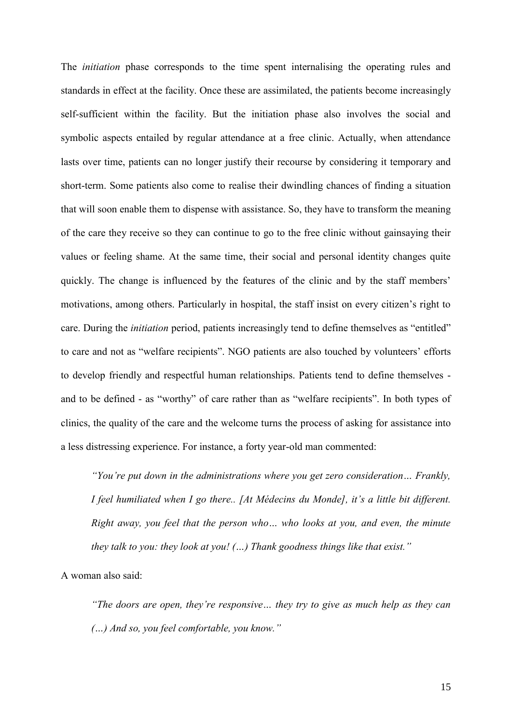The *initiation* phase corresponds to the time spent internalising the operating rules and standards in effect at the facility. Once these are assimilated, the patients become increasingly self-sufficient within the facility. But the initiation phase also involves the social and symbolic aspects entailed by regular attendance at a free clinic. Actually, when attendance lasts over time, patients can no longer justify their recourse by considering it temporary and short-term. Some patients also come to realise their dwindling chances of finding a situation that will soon enable them to dispense with assistance. So, they have to transform the meaning of the care they receive so they can continue to go to the free clinic without gainsaying their values or feeling shame. At the same time, their social and personal identity changes quite quickly. The change is influenced by the features of the clinic and by the staff members' motivations, among others. Particularly in hospital, the staff insist on every citizen"s right to care. During the *initiation* period, patients increasingly tend to define themselves as "entitled" to care and not as "welfare recipients". NGO patients are also touched by volunteers" efforts to develop friendly and respectful human relationships. Patients tend to define themselves and to be defined - as "worthy" of care rather than as "welfare recipients". In both types of clinics, the quality of the care and the welcome turns the process of asking for assistance into a less distressing experience. For instance, a forty year-old man commented:

*"You"re put down in the administrations where you get zero consideration… Frankly, I feel humiliated when I go there.. [At Médecins du Monde], it's a little bit different. Right away, you feel that the person who… who looks at you, and even, the minute they talk to you: they look at you! (…) Thank goodness things like that exist."*

A woman also said:

*"The doors are open, they"re responsive… they try to give as much help as they can (…) And so, you feel comfortable, you know."*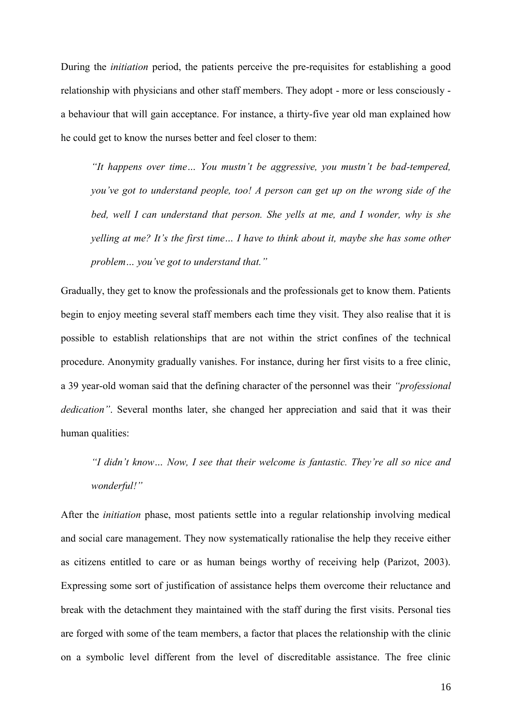During the *initiation* period, the patients perceive the pre-requisites for establishing a good relationship with physicians and other staff members. They adopt - more or less consciously a behaviour that will gain acceptance. For instance, a thirty-five year old man explained how he could get to know the nurses better and feel closer to them:

*"It happens over time… You mustn"t be aggressive, you mustn"t be bad-tempered, you"ve got to understand people, too! A person can get up on the wrong side of the bed, well I can understand that person. She yells at me, and I wonder, why is she yelling at me? It's the first time... I have to think about it, maybe she has some other problem… you"ve got to understand that."*

Gradually, they get to know the professionals and the professionals get to know them. Patients begin to enjoy meeting several staff members each time they visit. They also realise that it is possible to establish relationships that are not within the strict confines of the technical procedure. Anonymity gradually vanishes. For instance, during her first visits to a free clinic, a 39 year-old woman said that the defining character of the personnel was their *"professional dedication"*. Several months later, she changed her appreciation and said that it was their human qualities:

*"I didn"t know… Now, I see that their welcome is fantastic. They"re all so nice and wonderful!"*

After the *initiation* phase, most patients settle into a regular relationship involving medical and social care management. They now systematically rationalise the help they receive either as citizens entitled to care or as human beings worthy of receiving help (Parizot, 2003). Expressing some sort of justification of assistance helps them overcome their reluctance and break with the detachment they maintained with the staff during the first visits. Personal ties are forged with some of the team members, a factor that places the relationship with the clinic on a symbolic level different from the level of discreditable assistance. The free clinic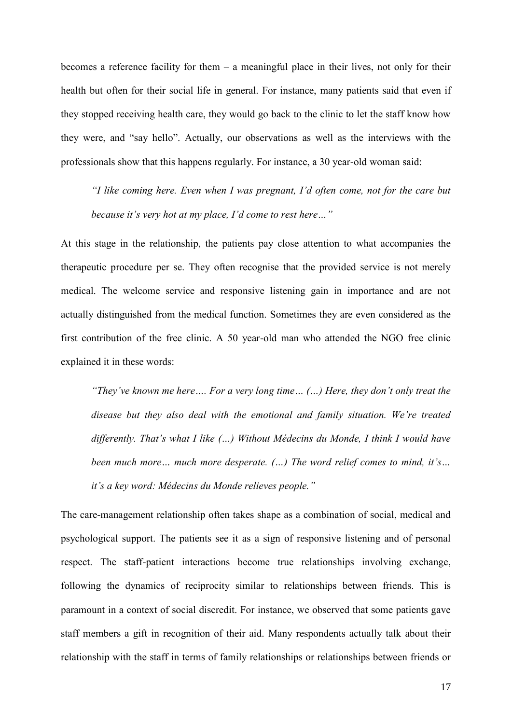becomes a reference facility for them – a meaningful place in their lives, not only for their health but often for their social life in general. For instance, many patients said that even if they stopped receiving health care, they would go back to the clinic to let the staff know how they were, and "say hello". Actually, our observations as well as the interviews with the professionals show that this happens regularly. For instance, a 30 year-old woman said:

*"I like coming here. Even when I was pregnant, I"d often come, not for the care but because it"s very hot at my place, I"d come to rest here…"*

At this stage in the relationship, the patients pay close attention to what accompanies the therapeutic procedure per se. They often recognise that the provided service is not merely medical. The welcome service and responsive listening gain in importance and are not actually distinguished from the medical function. Sometimes they are even considered as the first contribution of the free clinic. A 50 year-old man who attended the NGO free clinic explained it in these words:

*"They"ve known me here…. For a very long time… (…) Here, they don"t only treat the disease but they also deal with the emotional and family situation. We"re treated differently. That"s what I like (…) Without Médecins du Monde, I think I would have been much more… much more desperate. (…) The word relief comes to mind, it"s… it"s a key word: Médecins du Monde relieves people."* 

The care-management relationship often takes shape as a combination of social, medical and psychological support. The patients see it as a sign of responsive listening and of personal respect. The staff-patient interactions become true relationships involving exchange, following the dynamics of reciprocity similar to relationships between friends. This is paramount in a context of social discredit. For instance, we observed that some patients gave staff members a gift in recognition of their aid. Many respondents actually talk about their relationship with the staff in terms of family relationships or relationships between friends or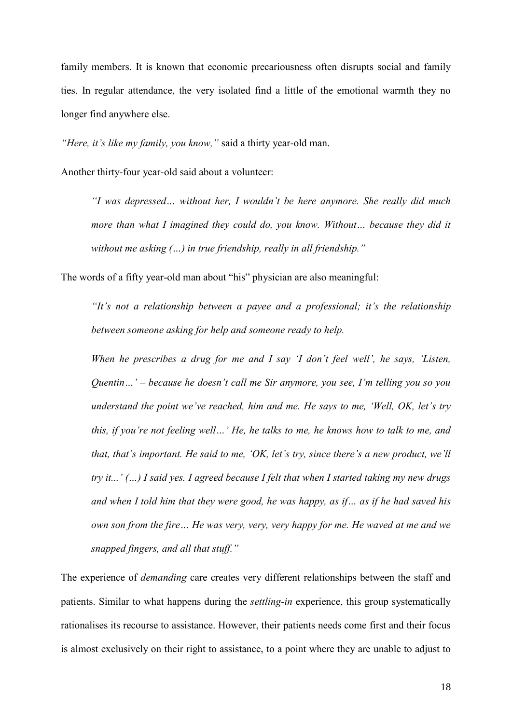family members. It is known that economic precariousness often disrupts social and family ties. In regular attendance, the very isolated find a little of the emotional warmth they no longer find anywhere else.

*"Here, it's like my family, you know,"* said a thirty year-old man.

Another thirty-four year-old said about a volunteer:

*"I was depressed… without her, I wouldn"t be here anymore. She really did much more than what I imagined they could do, you know. Without... because they did it without me asking (…) in true friendship, really in all friendship."*

The words of a fifty year-old man about "his" physician are also meaningful:

*"It"s not a relationship between a payee and a professional; it"s the relationship between someone asking for help and someone ready to help.* 

*When he prescribes a drug for me and I say "I don"t feel well", he says, "Listen, Quentin…" – because he doesn"t call me Sir anymore, you see, I"m telling you so you understand the point we"ve reached, him and me. He says to me, "Well, OK, let"s try this, if you"re not feeling well…" He, he talks to me, he knows how to talk to me, and that, that's important. He said to me, 'OK, let's try, since there's a new product, we'll try it..." (…) I said yes. I agreed because I felt that when I started taking my new drugs and when I told him that they were good, he was happy, as if… as if he had saved his own son from the fire… He was very, very, very happy for me. He waved at me and we snapped fingers, and all that stuff."* 

The experience of *demanding* care creates very different relationships between the staff and patients. Similar to what happens during the *settling-in* experience, this group systematically rationalises its recourse to assistance. However, their patients needs come first and their focus is almost exclusively on their right to assistance, to a point where they are unable to adjust to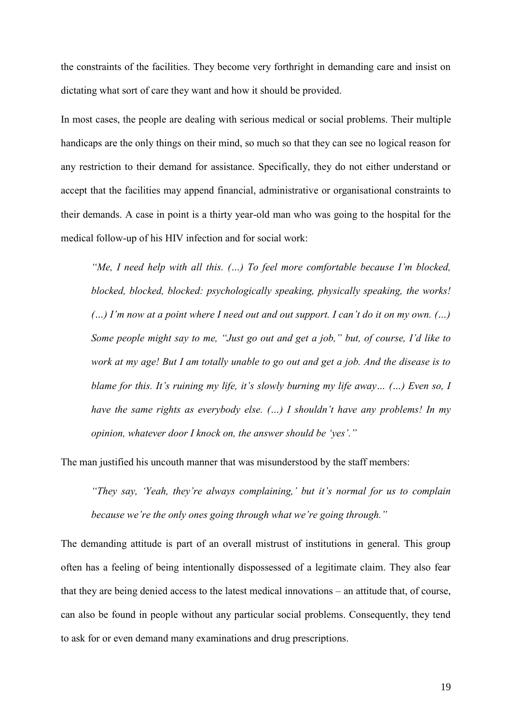the constraints of the facilities. They become very forthright in demanding care and insist on dictating what sort of care they want and how it should be provided.

In most cases, the people are dealing with serious medical or social problems. Their multiple handicaps are the only things on their mind, so much so that they can see no logical reason for any restriction to their demand for assistance. Specifically, they do not either understand or accept that the facilities may append financial, administrative or organisational constraints to their demands. A case in point is a thirty year-old man who was going to the hospital for the medical follow-up of his HIV infection and for social work:

*"Me, I need help with all this. (…) To feel more comfortable because I"m blocked, blocked, blocked, blocked: psychologically speaking, physically speaking, the works! (…) I"m now at a point where I need out and out support. I can"t do it on my own. (…) Some people might say to me, "Just go out and get a job," but, of course, I"d like to work at my age! But I am totally unable to go out and get a job. And the disease is to blame for this. It's ruining my life, it's slowly burning my life away... (...) Even so, I have the same rights as everybody else. (...) I shouldn't have any problems! In my opinion, whatever door I knock on, the answer should be "yes"."*

The man justified his uncouth manner that was misunderstood by the staff members:

*"They say, "Yeah, they"re always complaining," but it"s normal for us to complain because we"re the only ones going through what we"re going through."*

The demanding attitude is part of an overall mistrust of institutions in general. This group often has a feeling of being intentionally dispossessed of a legitimate claim. They also fear that they are being denied access to the latest medical innovations – an attitude that, of course, can also be found in people without any particular social problems. Consequently, they tend to ask for or even demand many examinations and drug prescriptions.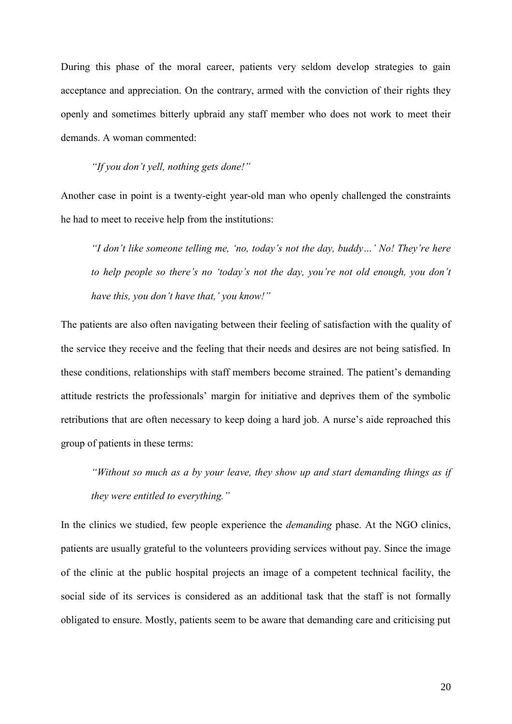During this phase of the moral career, patients very seldom develop strategies to gain acceptance and appreciation. On the contrary, armed with the conviction of their rights they openly and sometimes bitterly upbraid any staff member who does not work to meet their demands. A woman commented:

# *"If you don"t yell, nothing gets done!"*

Another case in point is a twenty-eight year-old man who openly challenged the constraints he had to meet to receive help from the institutions:

*"I don"t like someone telling me, "no, today"s not the day, buddy…" No! They"re here to help people so there"s no "today"s not the day, you"re not old enough, you don"t have this, you don"t have that," you know!"*

The patients are also often navigating between their feeling of satisfaction with the quality of the service they receive and the feeling that their needs and desires are not being satisfied. In these conditions, relationships with staff members become strained. The patient's demanding attitude restricts the professionals" margin for initiative and deprives them of the symbolic retributions that are often necessary to keep doing a hard job. A nurse"s aide reproached this group of patients in these terms:

*"Without so much as a by your leave, they show up and start demanding things as if they were entitled to everything."* 

In the clinics we studied, few people experience the *demanding* phase. At the NGO clinics, patients are usually grateful to the volunteers providing services without pay. Since the image of the clinic at the public hospital projects an image of a competent technical facility, the social side of its services is considered as an additional task that the staff is not formally obligated to ensure. Mostly, patients seem to be aware that demanding care and criticising put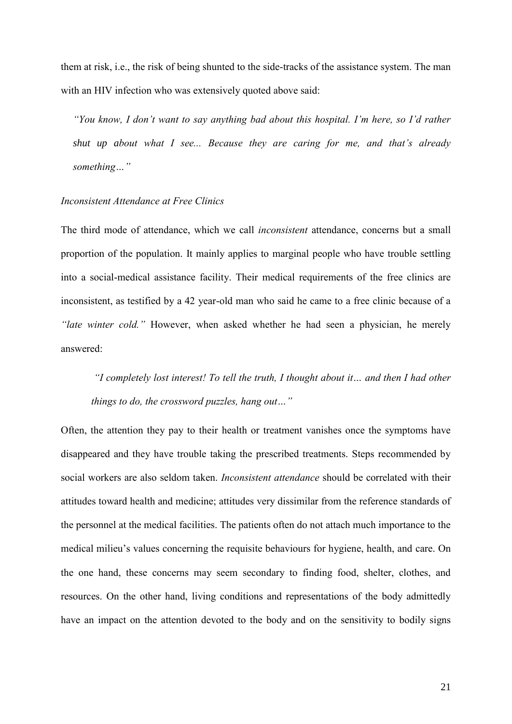them at risk, i.e., the risk of being shunted to the side-tracks of the assistance system. The man with an HIV infection who was extensively quoted above said:

*"You know, I don't want to say anything bad about this hospital. I'm here, so I'd rather shut up about what I see... Because they are caring for me, and that's already something…"* 

#### *Inconsistent Attendance at Free Clinics*

The third mode of attendance, which we call *inconsistent* attendance, concerns but a small proportion of the population. It mainly applies to marginal people who have trouble settling into a social-medical assistance facility. Their medical requirements of the free clinics are inconsistent, as testified by a 42 year-old man who said he came to a free clinic because of a *"late winter cold."* However, when asked whether he had seen a physician, he merely answered:

*"I completely lost interest! To tell the truth, I thought about it… and then I had other things to do, the crossword puzzles, hang out…"* 

Often, the attention they pay to their health or treatment vanishes once the symptoms have disappeared and they have trouble taking the prescribed treatments. Steps recommended by social workers are also seldom taken. *Inconsistent attendance* should be correlated with their attitudes toward health and medicine; attitudes very dissimilar from the reference standards of the personnel at the medical facilities. The patients often do not attach much importance to the medical milieu"s values concerning the requisite behaviours for hygiene, health, and care. On the one hand, these concerns may seem secondary to finding food, shelter, clothes, and resources. On the other hand, living conditions and representations of the body admittedly have an impact on the attention devoted to the body and on the sensitivity to bodily signs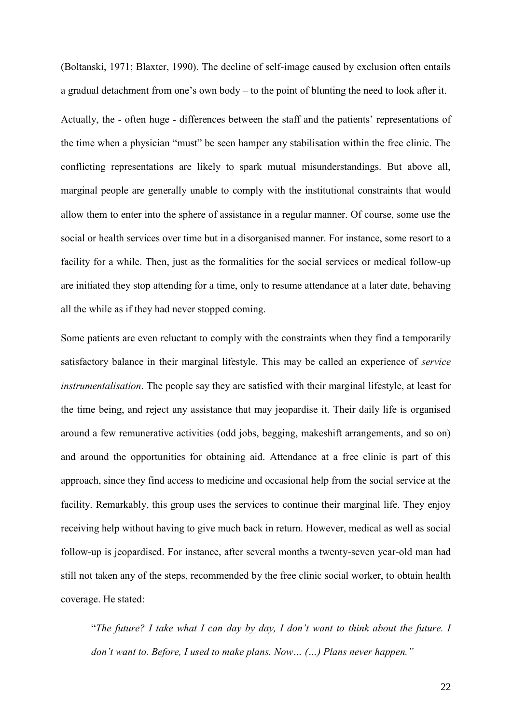(Boltanski, 1971; Blaxter, 1990). The decline of self-image caused by exclusion often entails a gradual detachment from one"s own body – to the point of blunting the need to look after it.

Actually, the - often huge - differences between the staff and the patients' representations of the time when a physician "must" be seen hamper any stabilisation within the free clinic. The conflicting representations are likely to spark mutual misunderstandings. But above all, marginal people are generally unable to comply with the institutional constraints that would allow them to enter into the sphere of assistance in a regular manner. Of course, some use the social or health services over time but in a disorganised manner. For instance, some resort to a facility for a while. Then, just as the formalities for the social services or medical follow-up are initiated they stop attending for a time, only to resume attendance at a later date, behaving all the while as if they had never stopped coming.

Some patients are even reluctant to comply with the constraints when they find a temporarily satisfactory balance in their marginal lifestyle. This may be called an experience of *service instrumentalisation*. The people say they are satisfied with their marginal lifestyle, at least for the time being, and reject any assistance that may jeopardise it. Their daily life is organised around a few remunerative activities (odd jobs, begging, makeshift arrangements, and so on) and around the opportunities for obtaining aid. Attendance at a free clinic is part of this approach, since they find access to medicine and occasional help from the social service at the facility. Remarkably, this group uses the services to continue their marginal life. They enjoy receiving help without having to give much back in return. However, medical as well as social follow-up is jeopardised. For instance, after several months a twenty-seven year-old man had still not taken any of the steps, recommended by the free clinic social worker, to obtain health coverage. He stated:

"*The future? I take what I can day by day, I don"t want to think about the future. I don"t want to. Before, I used to make plans. Now… (…) Plans never happen."*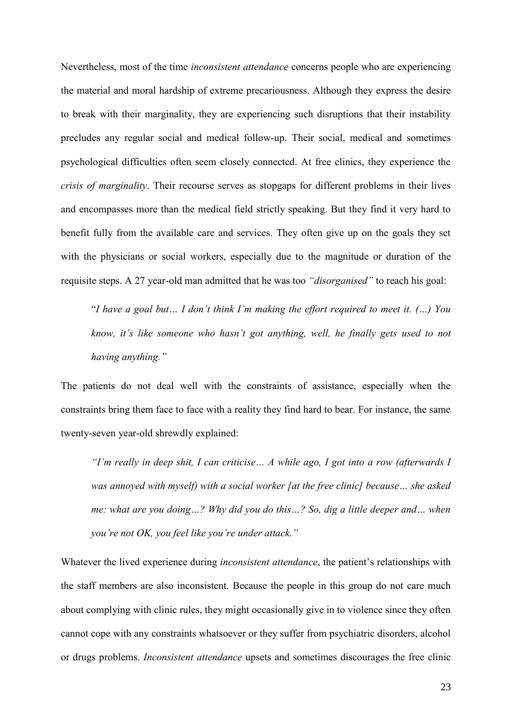Nevertheless, most of the time *inconsistent attendance* concerns people who are experiencing the material and moral hardship of extreme precariousness. Although they express the desire to break with their marginality, they are experiencing such disruptions that their instability precludes any regular social and medical follow-up. Their social, medical and sometimes psychological difficulties often seem closely connected. At free clinics, they experience the *crisis of marginality*. Their recourse serves as stopgaps for different problems in their lives and encompasses more than the medical field strictly speaking. But they find it very hard to benefit fully from the available care and services. They often give up on the goals they set with the physicians or social workers, especially due to the magnitude or duration of the requisite steps. A 27 year-old man admitted that he was too *"disorganised"* to reach his goal:

"*I have a goal but… I don"t think I"m making the effort required to meet it. (…) You know, it's like someone who hasn't got anything, well, he finally gets used to not having anything."* 

The patients do not deal well with the constraints of assistance, especially when the constraints bring them face to face with a reality they find hard to bear. For instance, the same twenty-seven year-old shrewdly explained:

*"I"m really in deep shit, I can criticise… A while ago, I got into a row (afterwards I was annoyed with myself) with a social worker [at the free clinic] because… she asked me: what are you doing…? Why did you do this…? So, dig a little deeper and… when you"re not OK, you feel like you"re under attack."* 

Whatever the lived experience during *inconsistent attendance*, the patient's relationships with the staff members are also inconsistent. Because the people in this group do not care much about complying with clinic rules, they might occasionally give in to violence since they often cannot cope with any constraints whatsoever or they suffer from psychiatric disorders, alcohol or drugs problems. *Inconsistent attendance* upsets and sometimes discourages the free clinic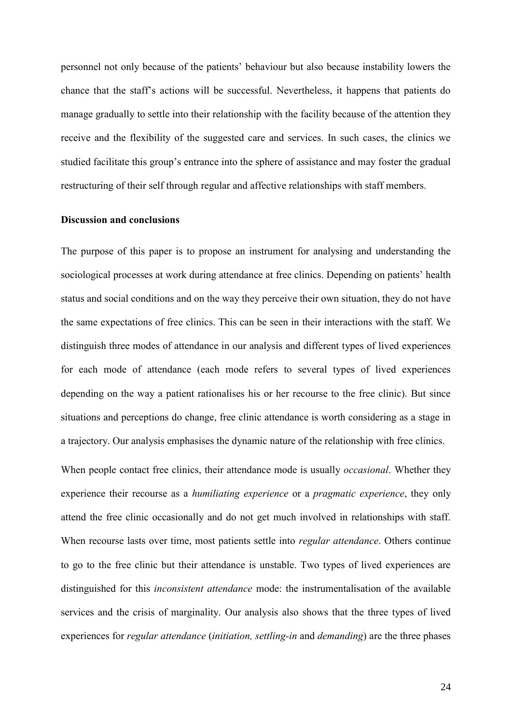personnel not only because of the patients" behaviour but also because instability lowers the chance that the staff"s actions will be successful. Nevertheless, it happens that patients do manage gradually to settle into their relationship with the facility because of the attention they receive and the flexibility of the suggested care and services. In such cases, the clinics we studied facilitate this group"s entrance into the sphere of assistance and may foster the gradual restructuring of their self through regular and affective relationships with staff members.

#### **Discussion and conclusions**

The purpose of this paper is to propose an instrument for analysing and understanding the sociological processes at work during attendance at free clinics. Depending on patients' health status and social conditions and on the way they perceive their own situation, they do not have the same expectations of free clinics. This can be seen in their interactions with the staff. We distinguish three modes of attendance in our analysis and different types of lived experiences for each mode of attendance (each mode refers to several types of lived experiences depending on the way a patient rationalises his or her recourse to the free clinic). But since situations and perceptions do change, free clinic attendance is worth considering as a stage in a trajectory. Our analysis emphasises the dynamic nature of the relationship with free clinics.

When people contact free clinics, their attendance mode is usually *occasional*. Whether they experience their recourse as a *humiliating experience* or a *pragmatic experience*, they only attend the free clinic occasionally and do not get much involved in relationships with staff. When recourse lasts over time, most patients settle into *regular attendance*. Others continue to go to the free clinic but their attendance is unstable. Two types of lived experiences are distinguished for this *inconsistent attendance* mode: the instrumentalisation of the available services and the crisis of marginality. Our analysis also shows that the three types of lived experiences for *regular attendance* (*initiation, settling-in* and *demanding*) are the three phases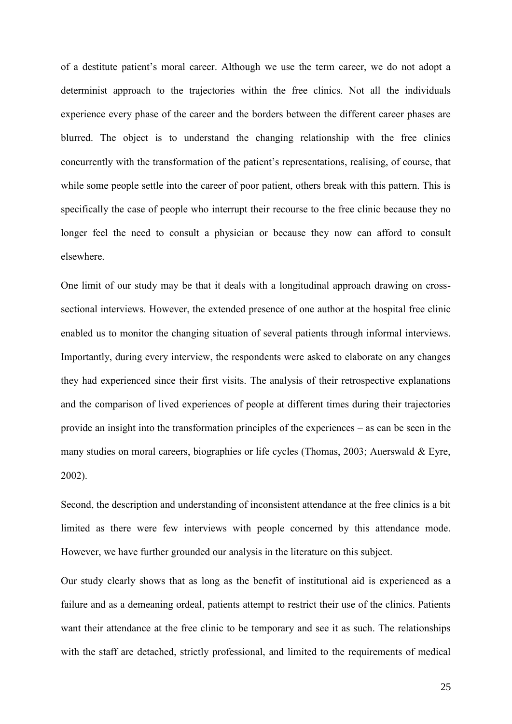of a destitute patient"s moral career. Although we use the term career, we do not adopt a determinist approach to the trajectories within the free clinics. Not all the individuals experience every phase of the career and the borders between the different career phases are blurred. The object is to understand the changing relationship with the free clinics concurrently with the transformation of the patient"s representations, realising, of course, that while some people settle into the career of poor patient, others break with this pattern. This is specifically the case of people who interrupt their recourse to the free clinic because they no longer feel the need to consult a physician or because they now can afford to consult elsewhere.

One limit of our study may be that it deals with a longitudinal approach drawing on crosssectional interviews. However, the extended presence of one author at the hospital free clinic enabled us to monitor the changing situation of several patients through informal interviews. Importantly, during every interview, the respondents were asked to elaborate on any changes they had experienced since their first visits. The analysis of their retrospective explanations and the comparison of lived experiences of people at different times during their trajectories provide an insight into the transformation principles of the experiences – as can be seen in the many studies on moral careers, biographies or life cycles (Thomas, 2003; Auerswald & Eyre, 2002).

Second, the description and understanding of inconsistent attendance at the free clinics is a bit limited as there were few interviews with people concerned by this attendance mode. However, we have further grounded our analysis in the literature on this subject.

Our study clearly shows that as long as the benefit of institutional aid is experienced as a failure and as a demeaning ordeal, patients attempt to restrict their use of the clinics. Patients want their attendance at the free clinic to be temporary and see it as such. The relationships with the staff are detached, strictly professional, and limited to the requirements of medical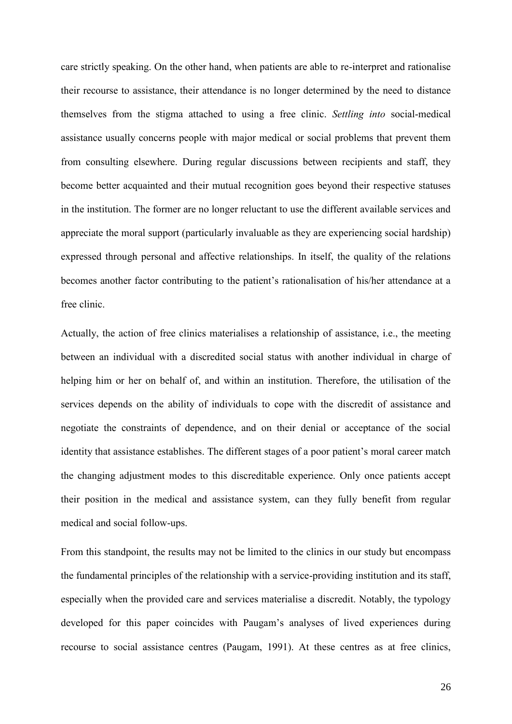care strictly speaking. On the other hand, when patients are able to re-interpret and rationalise their recourse to assistance, their attendance is no longer determined by the need to distance themselves from the stigma attached to using a free clinic. *Settling into* social-medical assistance usually concerns people with major medical or social problems that prevent them from consulting elsewhere. During regular discussions between recipients and staff, they become better acquainted and their mutual recognition goes beyond their respective statuses in the institution. The former are no longer reluctant to use the different available services and appreciate the moral support (particularly invaluable as they are experiencing social hardship) expressed through personal and affective relationships. In itself, the quality of the relations becomes another factor contributing to the patient's rationalisation of his/her attendance at a free clinic.

Actually, the action of free clinics materialises a relationship of assistance, i.e., the meeting between an individual with a discredited social status with another individual in charge of helping him or her on behalf of, and within an institution. Therefore, the utilisation of the services depends on the ability of individuals to cope with the discredit of assistance and negotiate the constraints of dependence, and on their denial or acceptance of the social identity that assistance establishes. The different stages of a poor patient's moral career match the changing adjustment modes to this discreditable experience. Only once patients accept their position in the medical and assistance system, can they fully benefit from regular medical and social follow-ups.

From this standpoint, the results may not be limited to the clinics in our study but encompass the fundamental principles of the relationship with a service-providing institution and its staff, especially when the provided care and services materialise a discredit. Notably, the typology developed for this paper coincides with Paugam"s analyses of lived experiences during recourse to social assistance centres (Paugam, 1991). At these centres as at free clinics,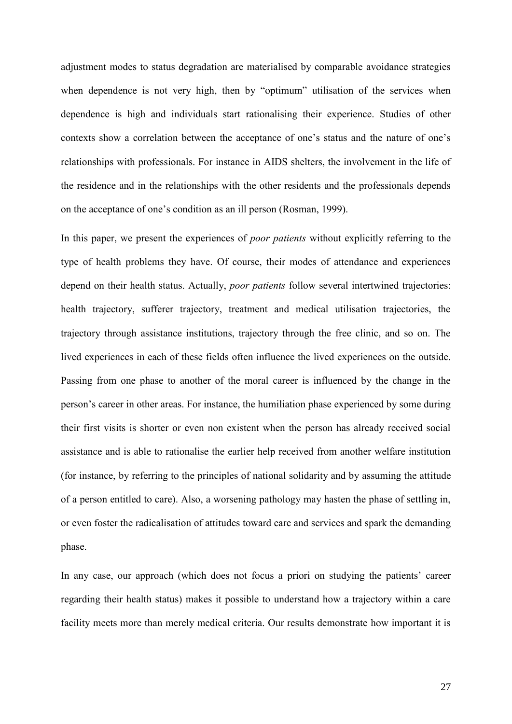adjustment modes to status degradation are materialised by comparable avoidance strategies when dependence is not very high, then by "optimum" utilisation of the services when dependence is high and individuals start rationalising their experience. Studies of other contexts show a correlation between the acceptance of one's status and the nature of one's relationships with professionals. For instance in AIDS shelters, the involvement in the life of the residence and in the relationships with the other residents and the professionals depends on the acceptance of one"s condition as an ill person (Rosman, 1999).

In this paper, we present the experiences of *poor patients* without explicitly referring to the type of health problems they have. Of course, their modes of attendance and experiences depend on their health status. Actually, *poor patients* follow several intertwined trajectories: health trajectory, sufferer trajectory, treatment and medical utilisation trajectories, the trajectory through assistance institutions, trajectory through the free clinic, and so on. The lived experiences in each of these fields often influence the lived experiences on the outside. Passing from one phase to another of the moral career is influenced by the change in the person"s career in other areas. For instance, the humiliation phase experienced by some during their first visits is shorter or even non existent when the person has already received social assistance and is able to rationalise the earlier help received from another welfare institution (for instance, by referring to the principles of national solidarity and by assuming the attitude of a person entitled to care). Also, a worsening pathology may hasten the phase of settling in, or even foster the radicalisation of attitudes toward care and services and spark the demanding phase.

In any case, our approach (which does not focus a priori on studying the patients' career regarding their health status) makes it possible to understand how a trajectory within a care facility meets more than merely medical criteria. Our results demonstrate how important it is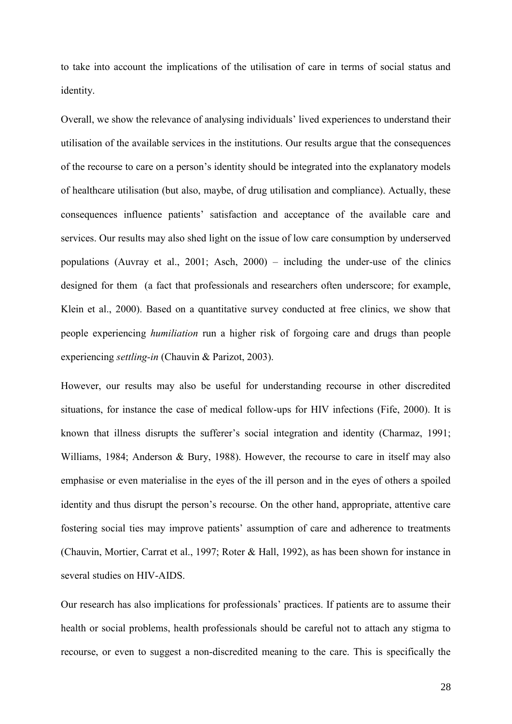to take into account the implications of the utilisation of care in terms of social status and identity.

Overall, we show the relevance of analysing individuals" lived experiences to understand their utilisation of the available services in the institutions. Our results argue that the consequences of the recourse to care on a person"s identity should be integrated into the explanatory models of healthcare utilisation (but also, maybe, of drug utilisation and compliance). Actually, these consequences influence patients" satisfaction and acceptance of the available care and services. Our results may also shed light on the issue of low care consumption by underserved populations (Auvray et al., 2001; Asch, 2000) – including the under-use of the clinics designed for them (a fact that professionals and researchers often underscore; for example, Klein et al., 2000). Based on a quantitative survey conducted at free clinics, we show that people experiencing *humiliation* run a higher risk of forgoing care and drugs than people experiencing *settling-in* (Chauvin & Parizot, 2003).

However, our results may also be useful for understanding recourse in other discredited situations, for instance the case of medical follow-ups for HIV infections (Fife, 2000). It is known that illness disrupts the sufferer's social integration and identity (Charmaz, 1991; Williams, 1984; Anderson & Bury, 1988). However, the recourse to care in itself may also emphasise or even materialise in the eyes of the ill person and in the eyes of others a spoiled identity and thus disrupt the person's recourse. On the other hand, appropriate, attentive care fostering social ties may improve patients' assumption of care and adherence to treatments (Chauvin, Mortier, Carrat et al., 1997; Roter & Hall, 1992), as has been shown for instance in several studies on HIV-AIDS.

Our research has also implications for professionals" practices. If patients are to assume their health or social problems, health professionals should be careful not to attach any stigma to recourse, or even to suggest a non-discredited meaning to the care. This is specifically the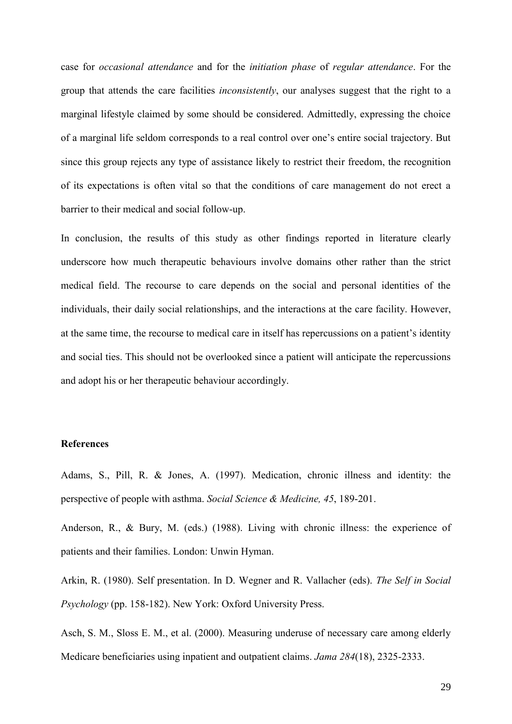case for *occasional attendance* and for the *initiation phase* of *regular attendance*. For the group that attends the care facilities *inconsistently*, our analyses suggest that the right to a marginal lifestyle claimed by some should be considered. Admittedly, expressing the choice of a marginal life seldom corresponds to a real control over one"s entire social trajectory. But since this group rejects any type of assistance likely to restrict their freedom, the recognition of its expectations is often vital so that the conditions of care management do not erect a barrier to their medical and social follow-up.

In conclusion, the results of this study as other findings reported in literature clearly underscore how much therapeutic behaviours involve domains other rather than the strict medical field. The recourse to care depends on the social and personal identities of the individuals, their daily social relationships, and the interactions at the care facility. However, at the same time, the recourse to medical care in itself has repercussions on a patient"s identity and social ties. This should not be overlooked since a patient will anticipate the repercussions and adopt his or her therapeutic behaviour accordingly.

## **References**

Adams, S., Pill, R. & Jones, A. (1997). Medication, chronic illness and identity: the perspective of people with asthma. *Social Science & Medicine, 45*, 189-201.

Anderson, R., & Bury, M. (eds.) (1988). Living with chronic illness: the experience of patients and their families. London: Unwin Hyman.

Arkin, R. (1980). Self presentation. In D. Wegner and R. Vallacher (eds). *The Self in Social Psychology* (pp. 158-182). New York: Oxford University Press.

Asch, S. M., Sloss E. M., et al. (2000). Measuring underuse of necessary care among elderly Medicare beneficiaries using inpatient and outpatient claims. *Jama 284*(18), 2325-2333.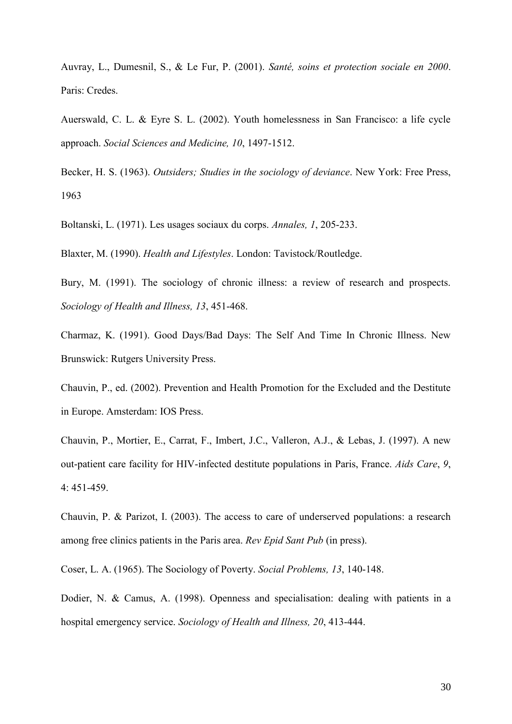Auvray, L., Dumesnil, S., & Le Fur, P. (2001). *Santé, soins et protection sociale en 2000*. Paris: Credes.

Auerswald, C. L. & Eyre S. L. (2002). Youth homelessness in San Francisco: a life cycle approach. *Social Sciences and Medicine, 10*, 1497-1512.

Becker, H. S. (1963). *Outsiders; Studies in the sociology of deviance*. New York: Free Press, 1963

Boltanski, L. (1971). Les usages sociaux du corps. *Annales, 1*, 205-233.

Blaxter, M. (1990). *Health and Lifestyles*. London: Tavistock/Routledge.

Bury, M. (1991). The sociology of chronic illness: a review of research and prospects. *Sociology of Health and Illness, 13*, 451-468.

Charmaz, K. (1991). Good Days/Bad Days: The Self And Time In Chronic Illness. New Brunswick: Rutgers University Press.

Chauvin, P., ed. (2002). Prevention and Health Promotion for the Excluded and the Destitute in Europe. Amsterdam: IOS Press.

Chauvin, P., Mortier, E., Carrat, F., Imbert, J.C., Valleron, A.J., & Lebas, J. (1997). A new out-patient care facility for HIV-infected destitute populations in Paris, France. *Aids Care*, *9*, 4: 451-459.

Chauvin, P. & Parizot, I. (2003). The access to care of underserved populations: a research among free clinics patients in the Paris area. *Rev Epid Sant Pub* (in press).

Coser, L. A. (1965). The Sociology of Poverty. *Social Problems, 13*, 140-148.

Dodier, N. & Camus, A. (1998). Openness and specialisation: dealing with patients in a hospital emergency service. *Sociology of Health and Illness, 20*, 413-444.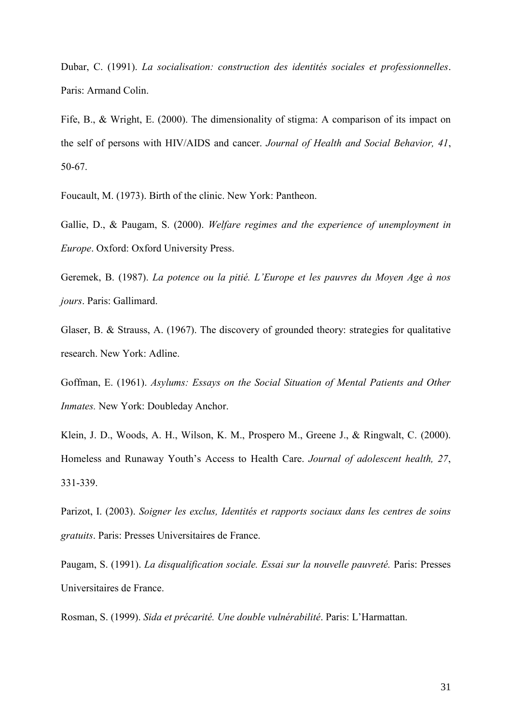Dubar, C. (1991). *La socialisation: construction des identités sociales et professionnelles*. Paris: Armand Colin.

Fife, B., & Wright, E. (2000). The dimensionality of stigma: A comparison of its impact on the self of persons with HIV/AIDS and cancer. *Journal of Health and Social Behavior, 41*, 50-67.

Foucault, M. (1973). Birth of the clinic. New York: Pantheon.

Gallie, D., & Paugam, S. (2000). *Welfare regimes and the experience of unemployment in Europe*. Oxford: Oxford University Press.

Geremek, B. (1987). *La potence ou la pitié. L"Europe et les pauvres du Moyen Age à nos jours*. Paris: Gallimard.

Glaser, B. & Strauss, A. (1967). The discovery of grounded theory: strategies for qualitative research. New York: Adline.

Goffman, E. (1961). *Asylums: Essays on the Social Situation of Mental Patients and Other Inmates.* New York: Doubleday Anchor.

Klein, J. D., Woods, A. H., Wilson, K. M., Prospero M., Greene J., & Ringwalt, C. (2000). Homeless and Runaway Youth"s Access to Health Care. *Journal of adolescent health, 27*, 331-339.

Parizot, I. (2003). *Soigner les exclus, Identités et rapports sociaux dans les centres de soins gratuits*. Paris: Presses Universitaires de France.

Paugam, S. (1991). *La disqualification sociale. Essai sur la nouvelle pauvreté.* Paris: Presses Universitaires de France.

Rosman, S. (1999). *Sida et précarité. Une double vulnérabilité*. Paris: L"Harmattan.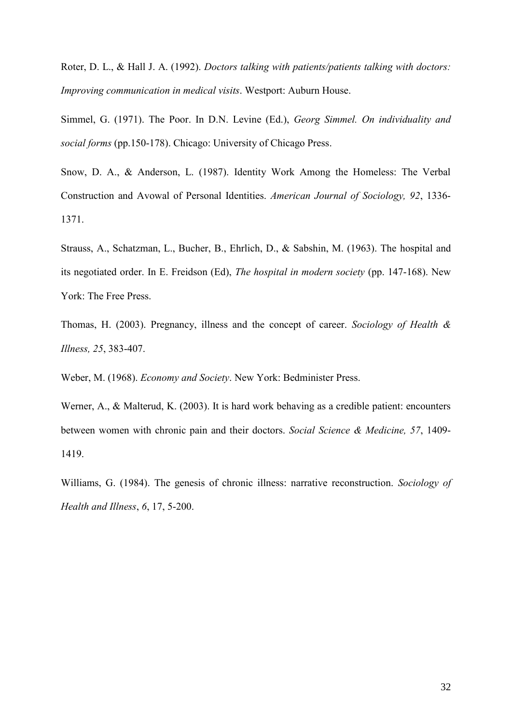Roter, D. L., & Hall J. A. (1992). *Doctors talking with patients/patients talking with doctors: Improving communication in medical visits*. Westport: Auburn House.

Simmel, G. (1971). The Poor. In D.N. Levine (Ed.), *Georg Simmel. On individuality and social forms* (pp.150-178). Chicago: University of Chicago Press.

Snow, D. A., & Anderson, L. (1987). Identity Work Among the Homeless: The Verbal Construction and Avowal of Personal Identities. *American Journal of Sociology, 92*, 1336- 1371.

Strauss, A., Schatzman, L., Bucher, B., Ehrlich, D., & Sabshin, M. (1963). The hospital and its negotiated order. In E. Freidson (Ed), *The hospital in modern society* (pp. 147-168). New York: The Free Press.

Thomas, H. (2003). Pregnancy, illness and the concept of career. *Sociology of Health & Illness, 25*, 383-407.

Weber, M. (1968). *Economy and Society*. New York: Bedminister Press.

Werner, A., & Malterud, K. (2003). It is hard work behaving as a credible patient: encounters between women with chronic pain and their doctors. *Social Science & Medicine, 57*, 1409- 1419.

Williams, G. (1984). The genesis of chronic illness: narrative reconstruction. *Sociology of Health and Illness*, *6*, 17, 5-200.